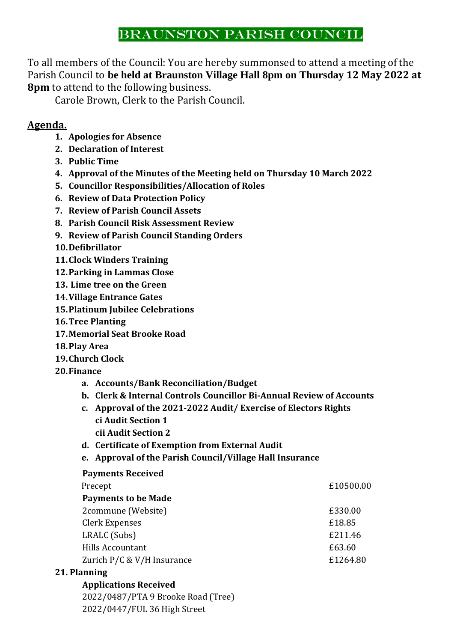# BRAUNSTON PARISH COUNCIL

To all members of the Council: You are hereby summonsed to attend a meeting of the Parish Council to **be held at Braunston Village Hall 8pm on Thursday 12 May 2022 at 8pm** to attend to the following business.

Carole Brown, Clerk to the Parish Council.

## **Agenda.**

- **1. Apologies for Absence**
- **2. Declaration of Interest**
- **3. Public Time**
- **4. Approval of the Minutes of the Meeting held on Thursday 10 March 2022**
- **5. Councillor Responsibilities/Allocation of Roles**
- **6. Review of Data Protection Policy**
- **7. Review of Parish Council Assets**
- **8. Parish Council Risk Assessment Review**
- **9. Review of Parish Council Standing Orders**
- **10.Defibrillator**
- **11.Clock Winders Training**
- **12.Parking in Lammas Close**
- **13. Lime tree on the Green**
- **14.Village Entrance Gates**
- **15.Platinum Jubilee Celebrations**
- **16.Tree Planting**
- **17.Memorial Seat Brooke Road**
- **18.Play Area**
- **19.Church Clock**
- **20.Finance**
	- **a. Accounts/Bank Reconciliation/Budget**
	- **b. Clerk & Internal Controls Councillor Bi-Annual Review of Accounts**
	- **c. Approval of the 2021-2022 Audit/ Exercise of Electors Rights ci Audit Section 1 cii Audit Section 2**
	- **d. Certificate of Exemption from External Audit**
	- **e. Approval of the Parish Council/Village Hall Insurance**

### **Payments Received**

| Precept               |                            | £10500.00 |
|-----------------------|----------------------------|-----------|
|                       | <b>Payments to be Made</b> |           |
|                       | 2commune (Website)         | £330.00   |
| <b>Clerk Expenses</b> |                            | £18.85    |
| LRALC (Subs)          |                            | £211.46   |
| Hills Accountant      |                            | £63.60    |
|                       | Zurich P/C & V/H Insurance | £1264.80  |
|                       |                            |           |

### **21. Planning**

### **Applications Received**

2022/0487/PTA 9 Brooke Road (Tree) 2022/0447/FUL 36 High Street